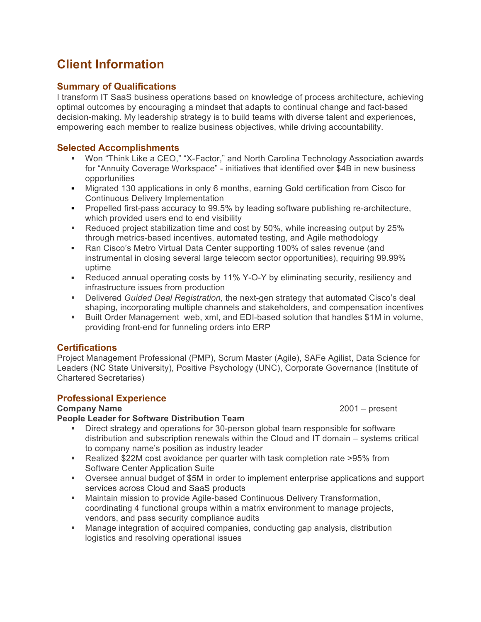# **Client Information**

# **Summary of Qualifications**

I transform IT SaaS business operations based on knowledge of process architecture, achieving optimal outcomes by encouraging a mindset that adapts to continual change and fact-based decision-making. My leadership strategy is to build teams with diverse talent and experiences, empowering each member to realize business objectives, while driving accountability.

# **Selected Accomplishments**

- ! Won "Think Like a CEO," "X-Factor," and North Carolina Technology Association awards for "Annuity Coverage Workspace" - initiatives that identified over \$4B in new business opportunities
- ! Migrated 130 applications in only 6 months, earning Gold certification from Cisco for Continuous Delivery Implementation
- ! Propelled first-pass accuracy to 99.5% by leading software publishing re-architecture, which provided users end to end visibility
- ! Reduced project stabilization time and cost by 50%, while increasing output by 25% through metrics-based incentives, automated testing, and Agile methodology
- ! Ran Cisco's Metro Virtual Data Center supporting 100% of sales revenue (and instrumental in closing several large telecom sector opportunities), requiring 99.99% uptime
- ! Reduced annual operating costs by 11% Y-O-Y by eliminating security, resiliency and infrastructure issues from production
- ! Delivered *Guided Deal Registration,* the next-gen strategy that automated Cisco's deal shaping, incorporating multiple channels and stakeholders, and compensation incentives
- ! Built Order Management web, xml, and EDI-based solution that handles \$1M in volume, providing front-end for funneling orders into ERP

## **Certifications**

Project Management Professional (PMP), Scrum Master (Agile), SAFe Agilist, Data Science for Leaders (NC State University), Positive Psychology (UNC), Corporate Governance (Institute of Chartered Secretaries)

## **Professional Experience**

#### **Company Name** 2001 – present

#### **People Leader for Software Distribution Team**

- ! Direct strategy and operations for 30-person global team responsible for software distribution and subscription renewals within the Cloud and IT domain – systems critical to company name's position as industry leader
- ! Realized \$22M cost avoidance per quarter with task completion rate >95% from Software Center Application Suite
- ! Oversee annual budget of \$5M in order to implement enterprise applications and support services across Cloud and SaaS products
- ! Maintain mission to provide Agile-based Continuous Delivery Transformation, coordinating 4 functional groups within a matrix environment to manage projects, vendors, and pass security compliance audits
- ! Manage integration of acquired companies, conducting gap analysis, distribution logistics and resolving operational issues